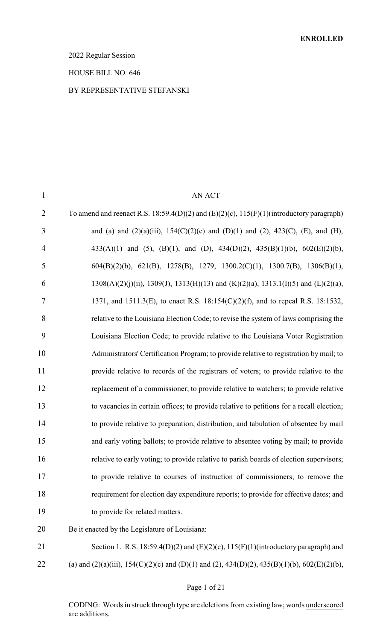## 2022 Regular Session

### HOUSE BILL NO. 646

## BY REPRESENTATIVE STEFANSKI

| $\mathbf{1}$   | <b>AN ACT</b>                                                                                      |
|----------------|----------------------------------------------------------------------------------------------------|
| $\overline{2}$ | To amend and reenact R.S. 18:59.4(D)(2) and (E)(2)(c), $115(F)(1)$ (introductory paragraph)        |
| 3              | and (a) and (2)(a)(iii), 154(C)(2)(c) and (D)(1) and (2), 423(C), (E), and (H),                    |
| $\overline{4}$ | 433(A)(1) and (5), (B)(1), and (D), 434(D)(2), 435(B)(1)(b), $602(E)(2)(b)$ ,                      |
| 5              | $604(B)(2)(b)$ , $621(B)$ , $1278(B)$ , $1279$ , $1300.2(C)(1)$ , $1300.7(B)$ , $1306(B)(1)$ ,     |
| 6              | $1308(A)(2)(j)(ii)$ , $1309(J)$ , $1313(H)(13)$ and $(K)(2)(a)$ , $1313.1(I)(5)$ and $(L)(2)(a)$ , |
| 7              | 1371, and 1511.3(E), to enact R.S. 18:154(C)(2)(f), and to repeal R.S. 18:1532,                    |
| 8              | relative to the Louisiana Election Code; to revise the system of laws comprising the               |
| 9              | Louisiana Election Code; to provide relative to the Louisiana Voter Registration                   |
| 10             | Administrators' Certification Program; to provide relative to registration by mail; to             |
| 11             | provide relative to records of the registrars of voters; to provide relative to the                |
| 12             | replacement of a commissioner; to provide relative to watchers; to provide relative                |
| 13             | to vacancies in certain offices; to provide relative to petitions for a recall election;           |
| 14             | to provide relative to preparation, distribution, and tabulation of absentee by mail               |
| 15             | and early voting ballots; to provide relative to absentee voting by mail; to provide               |
| 16             | relative to early voting; to provide relative to parish boards of election supervisors;            |
| 17             | to provide relative to courses of instruction of commissioners; to remove the                      |
| 18             | requirement for election day expenditure reports; to provide for effective dates; and              |
| 19             | to provide for related matters.                                                                    |
| 20             | Be it enacted by the Legislature of Louisiana:                                                     |
| 21             | Section 1. R.S. 18:59.4(D)(2) and (E)(2)(c), $115(F)(1)$ (introductory paragraph) and              |
|                |                                                                                                    |

22 (a) and (2)(a)(iii), 154(C)(2)(c) and (D)(1) and (2), 434(D)(2), 435(B)(1)(b), 602(E)(2)(b),

# Page 1 of 21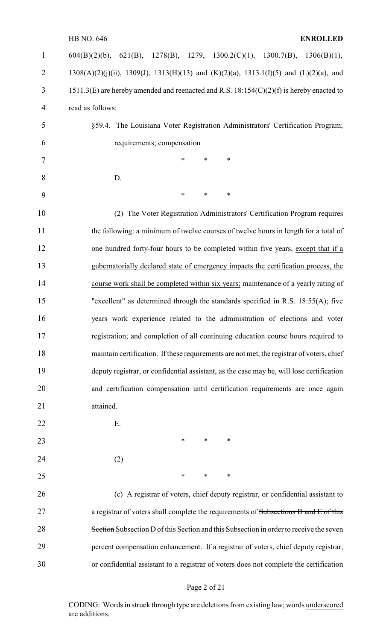## HB NO. 646 **ENROLLED**

| 1              | $604(B)(2)(b)$ , $621(B)$ , $1278(B)$ , $1279$ , $1300.2(C)(1)$ , $1300.7(B)$ , $1306(B)(1)$ ,         |
|----------------|--------------------------------------------------------------------------------------------------------|
| $\overline{2}$ | $1308(A)(2)(j)(ii)$ , $1309(J)$ , $1313(H)(13)$ and $(K)(2)(a)$ , $1313.1(I)(5)$ and $(L)(2)(a)$ , and |
| 3              | $1511.3(E)$ are hereby amended and reenacted and R.S. $18:154(C)(2)(f)$ is hereby enacted to           |
| 4              | read as follows:                                                                                       |
| 5              | §59.4. The Louisiana Voter Registration Administrators' Certification Program;                         |
| 6              | requirements; compensation                                                                             |
| 7              | $\ast$<br>*<br>$\ast$                                                                                  |
| 8              | D.                                                                                                     |
| 9              | *<br>$\ast$<br>$\ast$                                                                                  |
| 10             | (2) The Voter Registration Administrators' Certification Program requires                              |
| 11             | the following: a minimum of twelve courses of twelve hours in length for a total of                    |
| 12             | one hundred forty-four hours to be completed within five years, except that if a                       |
| 13             | gubernatorially declared state of emergency impacts the certification process, the                     |
| 14             | course work shall be completed within six years; maintenance of a yearly rating of                     |
| 15             | "excellent" as determined through the standards specified in R.S. 18:55(A); five                       |
| 16             | years work experience related to the administration of elections and voter                             |
| 17             | registration; and completion of all continuing education course hours required to                      |
| 18             | maintain certification. If these requirements are not met, the registrar of voters, chief              |
| 19             | deputy registrar, or confidential assistant, as the case may be, will lose certification               |
| 20             | and certification compensation until certification requirements are once again                         |
| 21             | attained.                                                                                              |
| 22             | E.                                                                                                     |
| 23             | $\ast$<br>∗<br>∗                                                                                       |
| 24             | (2)                                                                                                    |
| 25             | $\ast$<br>∗<br>∗                                                                                       |
| 26             | (c) A registrar of voters, chief deputy registrar, or confidential assistant to                        |
| 27             | a registrar of voters shall complete the requirements of Subsections D and E of this                   |
| 28             | Section Subsection D of this Section and this Subsection in order to receive the seven                 |
| 29             | percent compensation enhancement. If a registrar of voters, chief deputy registrar,                    |
| 30             | or confidential assistant to a registrar of voters does not complete the certification                 |

# Page 2 of 21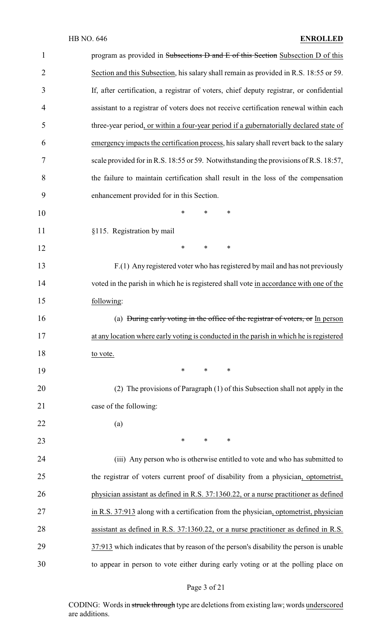| $\mathbf{1}$   | program as provided in Subsections D and E of this Section Subsection D of this         |
|----------------|-----------------------------------------------------------------------------------------|
| $\overline{2}$ | Section and this Subsection, his salary shall remain as provided in R.S. 18:55 or 59.   |
| 3              | If, after certification, a registrar of voters, chief deputy registrar, or confidential |
| 4              | assistant to a registrar of voters does not receive certification renewal within each   |
| 5              | three-year period, or within a four-year period if a gubernatorially declared state of  |
| 6              | emergency impacts the certification process, his salary shall revert back to the salary |
| 7              | scale provided for in R.S. 18:55 or 59. Notwithstanding the provisions of R.S. 18:57,   |
| 8              | the failure to maintain certification shall result in the loss of the compensation      |
| 9              | enhancement provided for in this Section.                                               |
| 10             | *<br>∗<br>∗                                                                             |
| 11             | §115. Registration by mail                                                              |
| 12             | $\ast$<br>$\ast$<br>∗                                                                   |
| 13             | F.(1) Any registered voter who has registered by mail and has not previously            |
| 14             | voted in the parish in which he is registered shall vote in accordance with one of the  |
| 15             | following:                                                                              |
| 16             | (a) During early voting in the office of the registrar of voters, or In person          |
| 17             | at any location where early voting is conducted in the parish in which he is registered |
| 18             | to vote.                                                                                |
| 19             | $\ast$<br>$\ast$<br>∗                                                                   |
| 20             | (2) The provisions of Paragraph (1) of this Subsection shall not apply in the           |
| 21             | case of the following:                                                                  |
| 22             | (a)                                                                                     |
| 23             | $*$ $*$<br>$\ast$<br>$\ast$                                                             |
| 24             | (iii) Any person who is otherwise entitled to vote and who has submitted to             |
| 25             | the registrar of voters current proof of disability from a physician, optometrist,      |
| 26             | physician assistant as defined in R.S. 37:1360.22, or a nurse practitioner as defined   |
| 27             | in R.S. 37:913 along with a certification from the physician, optometrist, physician    |
| 28             | assistant as defined in R.S. 37:1360.22, or a nurse practitioner as defined in R.S.     |
| 29             | 37:913 which indicates that by reason of the person's disability the person is unable   |
| 30             | to appear in person to vote either during early voting or at the polling place on       |

# Page 3 of 21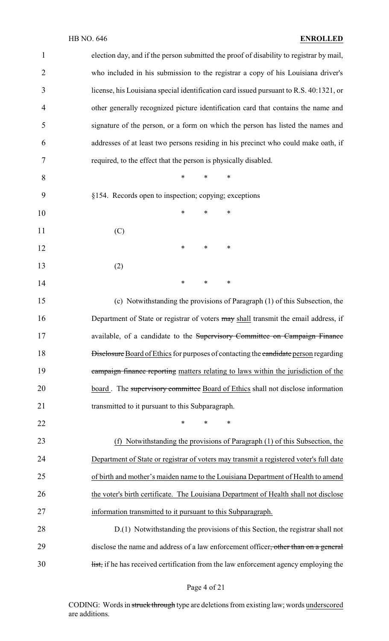## HB NO. 646 **ENROLLED**

| $\mathbf{1}$   | election day, and if the person submitted the proof of disability to registrar by mail,     |
|----------------|---------------------------------------------------------------------------------------------|
| $\overline{2}$ | who included in his submission to the registrar a copy of his Louisiana driver's            |
| 3              | license, his Louisiana special identification card issued pursuant to R.S. 40:1321, or      |
| 4              | other generally recognized picture identification card that contains the name and           |
| 5              | signature of the person, or a form on which the person has listed the names and             |
| 6              | addresses of at least two persons residing in his precinct who could make oath, if          |
| 7              | required, to the effect that the person is physically disabled.                             |
| 8              | $\ast$<br>$\ast$<br>$\ast$                                                                  |
| 9              | §154. Records open to inspection; copying; exceptions                                       |
| 10             | *<br>*<br>*                                                                                 |
| 11             | (C)                                                                                         |
| 12             | $\ast$<br>$\ast$<br>∗                                                                       |
| 13             | (2)                                                                                         |
| 14             | $\ast$<br>∗<br>$\ast$                                                                       |
| 15             | (c) Notwithstanding the provisions of Paragraph (1) of this Subsection, the                 |
| 16             | Department of State or registrar of voters may shall transmit the email address, if         |
| 17             | available, of a candidate to the Supervisory Committee on Campaign Finance                  |
| 18             | <b>Disclosure</b> Board of Ethics for purposes of contacting the candidate person regarding |
| 19             | campaign finance reporting matters relating to laws within the jurisdiction of the          |
| 20             | board. The supervisory committee Board of Ethics shall not disclose information             |
| 21             | transmitted to it pursuant to this Subparagraph.                                            |
| 22             | *<br>*<br>$\ast$                                                                            |
| 23             | (f) Notwithstanding the provisions of Paragraph (1) of this Subsection, the                 |
| 24             | Department of State or registrar of voters may transmit a registered voter's full date      |
| 25             | of birth and mother's maiden name to the Louisiana Department of Health to amend            |
| 26             | the voter's birth certificate. The Louisiana Department of Health shall not disclose        |
| 27             | information transmitted to it pursuant to this Subparagraph.                                |
| 28             | D.(1) Notwithstanding the provisions of this Section, the registrar shall not               |
| 29             | disclose the name and address of a law enforcement officer, other than on a general         |
| 30             | list, if he has received certification from the law enforcement agency employing the        |
|                |                                                                                             |

Page 4 of 21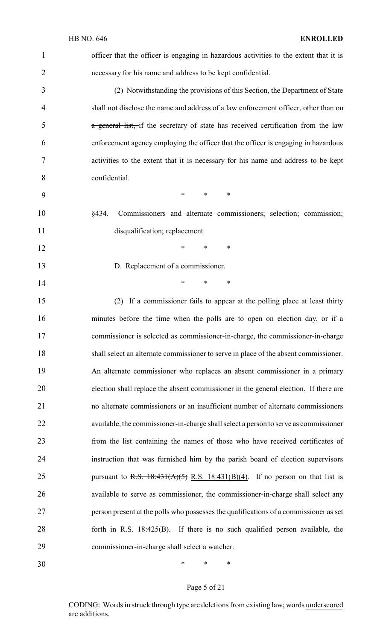| $\mathbf{1}$   | officer that the officer is engaging in hazardous activities to the extent that it is |
|----------------|---------------------------------------------------------------------------------------|
| $\overline{2}$ | necessary for his name and address to be kept confidential.                           |
| 3              | (2) Notwithstanding the provisions of this Section, the Department of State           |
| 4              | shall not disclose the name and address of a law enforcement officer, other than on   |
| 5              | a general list, if the secretary of state has received certification from the law     |
| 6              | enforcement agency employing the officer that the officer is engaging in hazardous    |
| 7              | activities to the extent that it is necessary for his name and address to be kept     |
| 8              | confidential.                                                                         |
| 9              | $\ast$<br>$\ast$<br>$\ast$                                                            |
| 10             | Commissioners and alternate commissioners; selection; commission;<br>§434.            |
| 11             | disqualification; replacement                                                         |
| 12             | $\ast$<br>*<br>∗                                                                      |
| 13             | D. Replacement of a commissioner.                                                     |
| 14             | *<br>*<br>∗                                                                           |
| 15             | (2) If a commissioner fails to appear at the polling place at least thirty            |
| 16             | minutes before the time when the polls are to open on election day, or if a           |
| 17             | commissioner is selected as commissioner-in-charge, the commissioner-in-charge        |
| 18             | shall select an alternate commissioner to serve in place of the absent commissioner.  |
| 19             | An alternate commissioner who replaces an absent commissioner in a primary            |
| 20             | election shall replace the absent commissioner in the general election. If there are  |
| 21             | no alternate commissioners or an insufficient number of alternate commissioners       |
| 22             | available, the commissioner-in-charge shall select a person to serve as commissioner  |
| 23             | from the list containing the names of those who have received certificates of         |
| 24             | instruction that was furnished him by the parish board of election supervisors        |
| 25             | pursuant to R.S. $18:431(A)(5)$ R.S. $18:431(B)(4)$ . If no person on that list is    |
| 26             | available to serve as commissioner, the commissioner-in-charge shall select any       |
| 27             | person present at the polls who possesses the qualifications of a commissioner as set |
| 28             | forth in R.S. $18:425(B)$ . If there is no such qualified person available, the       |
| 29             | commissioner-in-charge shall select a watcher.                                        |
| 30             | ∗<br>∗<br>∗                                                                           |

# Page 5 of 21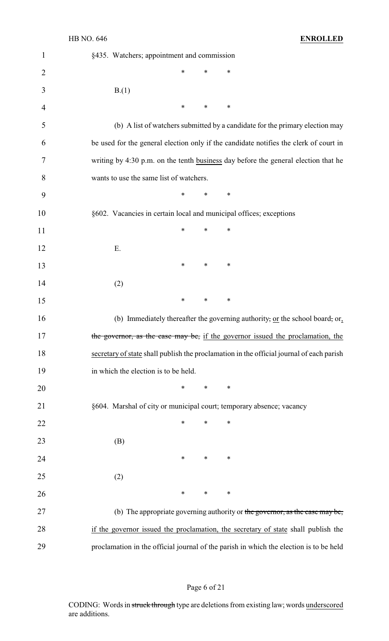| $\mathbf{1}$   | §435. Watchers; appointment and commission                                               |
|----------------|------------------------------------------------------------------------------------------|
| 2              | ∗<br>*<br>∗                                                                              |
| 3              | B(1)                                                                                     |
| $\overline{4}$ | $\ast$<br>$\ast$<br>∗                                                                    |
| 5              | (b) A list of watchers submitted by a candidate for the primary election may             |
| 6              | be used for the general election only if the candidate notifies the clerk of court in    |
| 7              | writing by 4:30 p.m. on the tenth business day before the general election that he       |
| 8              | wants to use the same list of watchers.                                                  |
| 9              | $\ast$<br>$\ast$<br>$\ast$                                                               |
| 10             | §602. Vacancies in certain local and municipal offices; exceptions                       |
| 11             | $\ast$<br>$\ast$<br>$\ast$                                                               |
| 12             | Ε.                                                                                       |
| 13             | $\ast$<br>*<br>∗                                                                         |
| 14             | (2)                                                                                      |
| 15             | $\ast$<br>*<br>∗                                                                         |
| 16             | (b) Immediately thereafter the governing authority, or the school board, or,             |
| 17             | the governor, as the case may be, if the governor issued the proclamation, the           |
| 18             | secretary of state shall publish the proclamation in the official journal of each parish |
| 19             | in which the election is to be held.                                                     |
| 20             | $*$ $*$<br>$\ast$<br>∗                                                                   |
| 21             | §604. Marshal of city or municipal court; temporary absence; vacancy                     |
| 22             | $\ast$<br>∗<br>∗                                                                         |
| 23             | (B)                                                                                      |
| 24             | $\ast$<br>$\ast$<br>$\ast$                                                               |
| 25             | (2)                                                                                      |
| 26             | $\ast$<br>$\ast$<br>$\ast$                                                               |
| 27             | (b) The appropriate governing authority or the governor, as the case may be,             |
| 28             | if the governor issued the proclamation, the secretary of state shall publish the        |
| 29             | proclamation in the official journal of the parish in which the election is to be held   |

# Page 6 of 21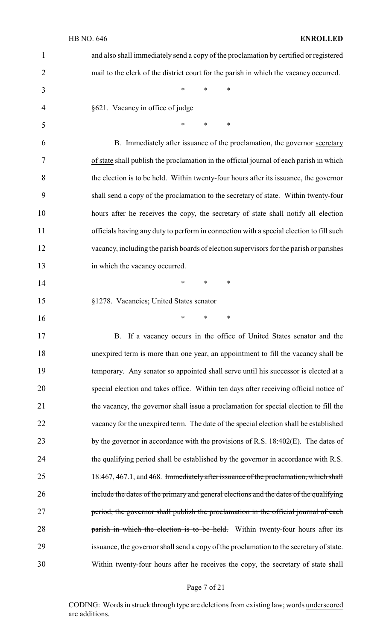| $\mathbf{1}$   | and also shall immediately send a copy of the proclamation by certified or registered          |
|----------------|------------------------------------------------------------------------------------------------|
| $\overline{2}$ | mail to the clerk of the district court for the parish in which the vacancy occurred.          |
| 3              | $\ast$<br>$\ast$<br>$\ast$                                                                     |
| $\overline{4}$ | §621. Vacancy in office of judge                                                               |
| 5              | *<br>$\ast$<br>∗                                                                               |
| 6              | B. Immediately after issuance of the proclamation, the governor secretary                      |
| 7              | of state shall publish the proclamation in the official journal of each parish in which        |
| 8              | the election is to be held. Within twenty-four hours after its issuance, the governor          |
| 9              | shall send a copy of the proclamation to the secretary of state. Within twenty-four            |
| 10             | hours after he receives the copy, the secretary of state shall notify all election             |
| 11             | officials having any duty to perform in connection with a special election to fill such        |
| 12             | vacancy, including the parish boards of election supervisors for the parish or parishes        |
| 13             | in which the vacancy occurred.                                                                 |
| 14             | $\ast$<br>$\ast$<br>∗                                                                          |
| 15             | §1278. Vacancies; United States senator                                                        |
| 16             | $\ast$<br>$\ast$<br>$\ast$                                                                     |
| 17             | B. If a vacancy occurs in the office of United States senator and the                          |
| 18             | unexpired term is more than one year, an appointment to fill the vacancy shall be              |
| 19             | temporary. Any senator so appointed shall serve until his successor is elected at a            |
| 20             | special election and takes office. Within ten days after receiving official notice of          |
| 21             | the vacancy, the governor shall issue a proclamation for special election to fill the          |
| 22             | vacancy for the unexpired term. The date of the special election shall be established          |
| 23             | by the governor in accordance with the provisions of R.S. 18:402(E). The dates of              |
| 24             | the qualifying period shall be established by the governor in accordance with R.S.             |
| 25             | 18:467, 467.1, and 468. <del>Immediately after issuance of the proclamation, which shall</del> |
| 26             | include the dates of the primary and general elections and the dates of the qualifying         |
| 27             | period, the governor shall publish the proclamation in the official journal of each            |
| 28             | parish in which the election is to be held. Within twenty-four hours after its                 |
| 29             | issuance, the governor shall send a copy of the proclamation to the secretary of state.        |
| 30             | Within twenty-four hours after he receives the copy, the secretary of state shall              |

Page 7 of 21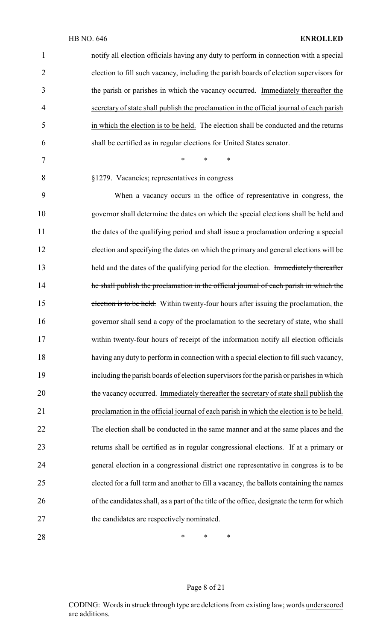| $\mathbf{1}$   | notify all election officials having any duty to perform in connection with a special       |
|----------------|---------------------------------------------------------------------------------------------|
| $\overline{2}$ | election to fill such vacancy, including the parish boards of election supervisors for      |
| 3              | the parish or parishes in which the vacancy occurred. Immediately thereafter the            |
| 4              | secretary of state shall publish the proclamation in the official journal of each parish    |
| 5              | in which the election is to be held. The election shall be conducted and the returns        |
| 6              | shall be certified as in regular elections for United States senator.                       |
| 7              | $\ast$<br>$\ast$<br>*                                                                       |
| 8              | §1279. Vacancies; representatives in congress                                               |
| 9              | When a vacancy occurs in the office of representative in congress, the                      |
| 10             | governor shall determine the dates on which the special elections shall be held and         |
| 11             | the dates of the qualifying period and shall issue a proclamation ordering a special        |
| 12             | election and specifying the dates on which the primary and general elections will be        |
| 13             | held and the dates of the qualifying period for the election. Immediately thereafter        |
| 14             | he shall publish the proclamation in the official journal of each parish in which the       |
| 15             | election is to be held. Within twenty-four hours after issuing the proclamation, the        |
| 16             | governor shall send a copy of the proclamation to the secretary of state, who shall         |
| 17             | within twenty-four hours of receipt of the information notify all election officials        |
| 18             | having any duty to perform in connection with a special election to fill such vacancy,      |
| 19             | including the parish boards of election supervisors for the parish or parishes in which     |
| 20             | the vacancy occurred. Immediately thereafter the secretary of state shall publish the       |
| 21             | proclamation in the official journal of each parish in which the election is to be held.    |
| 22             | The election shall be conducted in the same manner and at the same places and the           |
| 23             | returns shall be certified as in regular congressional elections. If at a primary or        |
| 24             | general election in a congressional district one representative in congress is to be        |
| 25             | elected for a full term and another to fill a vacancy, the ballots containing the names     |
| 26             | of the candidates shall, as a part of the title of the office, designate the term for which |
| 27             | the candidates are respectively nominated.                                                  |
|                |                                                                                             |

**\*** \* \* \*

# Page 8 of 21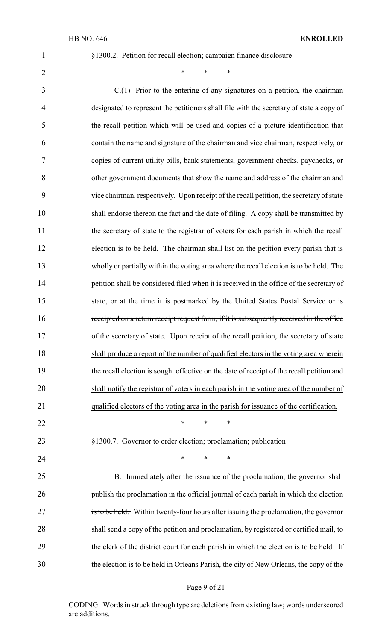§1300.2. Petition for recall election; campaign finance disclosure

2 \* \* \* \*

 C.(1) Prior to the entering of any signatures on a petition, the chairman designated to represent the petitioners shall file with the secretary of state a copy of the recall petition which will be used and copies of a picture identification that contain the name and signature of the chairman and vice chairman, respectively, or copies of current utility bills, bank statements, government checks, paychecks, or other government documents that show the name and address of the chairman and vice chairman, respectively. Upon receipt of the recall petition, the secretary of state shall endorse thereon the fact and the date of filing. A copy shall be transmitted by the secretary of state to the registrar of voters for each parish in which the recall election is to be held. The chairman shall list on the petition every parish that is wholly or partially within the voting area where the recall election is to be held. The petition shall be considered filed when it is received in the office of the secretary of 15 state, or at the time it is postmarked by the United States Postal Service or is receipted on a return receipt request form, if it is subsequently received in the office 17 of the secretary of state. Upon receipt of the recall petition, the secretary of state shall produce a report of the number of qualified electors in the voting area wherein the recall election is sought effective on the date of receipt of the recall petition and shall notify the registrar of voters in each parish in the voting area of the number of qualified electors of the voting area in the parish for issuance of the certification. 22 \* \* \* \* §1300.7. Governor to order election; proclamation; publication **\*** \* \* \* 25 B. Immediately after the issuance of the proclamation, the governor shall 26 publish the proclamation in the official journal of each parish in which the election 27 is to be held. Within twenty-four hours after issuing the proclamation, the governor shall send a copy of the petition and proclamation, by registered or certified mail, to the clerk of the district court for each parish in which the election is to be held. If the election is to be held in Orleans Parish, the city of New Orleans, the copy of the

#### Page 9 of 21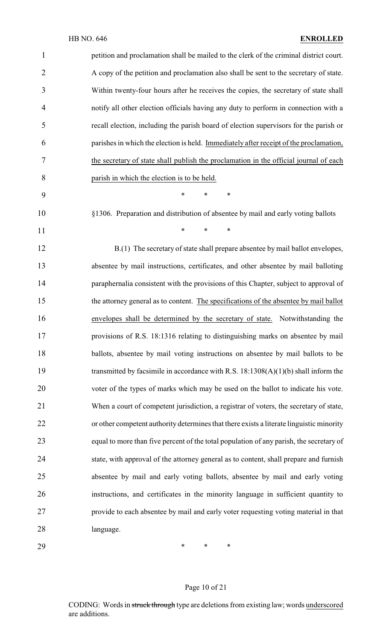| $\mathbf{1}$ | petition and proclamation shall be mailed to the clerk of the criminal district court.   |
|--------------|------------------------------------------------------------------------------------------|
| 2            | A copy of the petition and proclamation also shall be sent to the secretary of state.    |
| 3            | Within twenty-four hours after he receives the copies, the secretary of state shall      |
| 4            | notify all other election officials having any duty to perform in connection with a      |
| 5            | recall election, including the parish board of election supervisors for the parish or    |
| 6            | parishes in which the election is held. Immediately after receipt of the proclamation,   |
| 7            | the secretary of state shall publish the proclamation in the official journal of each    |
| 8            | parish in which the election is to be held.                                              |
| 9            | $\ast$<br>$\ast$<br>∗                                                                    |
| 10           | §1306. Preparation and distribution of absentee by mail and early voting ballots         |
| 11           | *<br>$\ast$<br>$\ast$                                                                    |
| 12           | B.(1) The secretary of state shall prepare absentee by mail ballot envelopes,            |
| 13           | absentee by mail instructions, certificates, and other absentee by mail balloting        |
| 14           | paraphernalia consistent with the provisions of this Chapter, subject to approval of     |
| 15           | the attorney general as to content. The specifications of the absentee by mail ballot    |
| 16           | envelopes shall be determined by the secretary of state. Notwithstanding the             |
| 17           | provisions of R.S. 18:1316 relating to distinguishing marks on absentee by mail          |
| 18           | ballots, absentee by mail voting instructions on absentee by mail ballots to be          |
| 19           | transmitted by facsimile in accordance with R.S. $18:1308(A)(1)(b)$ shall inform the     |
| 20           | voter of the types of marks which may be used on the ballot to indicate his vote.        |
| 21           | When a court of competent jurisdiction, a registrar of voters, the secretary of state,   |
| 22           | or other competent authority determines that there exists a literate linguistic minority |
| 23           | equal to more than five percent of the total population of any parish, the secretary of  |
| 24           | state, with approval of the attorney general as to content, shall prepare and furnish    |
| 25           | absentee by mail and early voting ballots, absentee by mail and early voting             |
| 26           | instructions, and certificates in the minority language in sufficient quantity to        |
| 27           | provide to each absentee by mail and early voter requesting voting material in that      |
| 28           | language.                                                                                |
| 29           | ∗<br>$\ast$<br>∗                                                                         |

Page 10 of 21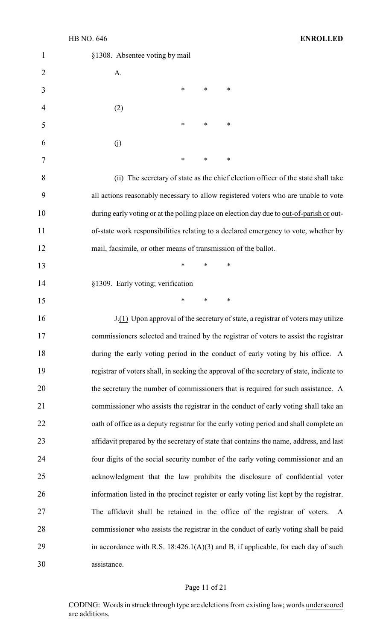| 1              | §1308. Absentee voting by mail                                                            |
|----------------|-------------------------------------------------------------------------------------------|
| $\overline{2}$ | A.                                                                                        |
| 3              | ∗<br>$\ast$<br>∗                                                                          |
| 4              | (2)                                                                                       |
| 5              | ∗<br>∗<br>∗                                                                               |
| 6              | (j)                                                                                       |
| 7              | ∗<br>∗<br>∗                                                                               |
| 8              | (ii) The secretary of state as the chief election officer of the state shall take         |
| 9              | all actions reasonably necessary to allow registered voters who are unable to vote        |
| 10             | during early voting or at the polling place on election day due to out-of-parish or out-  |
| 11             | of-state work responsibilities relating to a declared emergency to vote, whether by       |
| 12             | mail, facsimile, or other means of transmission of the ballot.                            |
| 13             | $\ast$<br>∗<br>*                                                                          |
| 14             | §1309. Early voting; verification                                                         |
| 15             | $\ast$<br>∗<br>∗                                                                          |
| 16             | J.(1) Upon approval of the secretary of state, a registrar of voters may utilize          |
| 17             | commissioners selected and trained by the registrar of voters to assist the registrar     |
| 18             | during the early voting period in the conduct of early voting by his office. A            |
| 19             | registrar of voters shall, in seeking the approval of the secretary of state, indicate to |
| 20             | the secretary the number of commissioners that is required for such assistance. A         |
| 21             | commissioner who assists the registrar in the conduct of early voting shall take an       |
| 22             | oath of office as a deputy registrar for the early voting period and shall complete an    |
| 23             | affidavit prepared by the secretary of state that contains the name, address, and last    |
| 24             | four digits of the social security number of the early voting commissioner and an         |
| 25             | acknowledgment that the law prohibits the disclosure of confidential voter                |
| 26             | information listed in the precinct register or early voting list kept by the registrar.   |
| 27             | The affidavit shall be retained in the office of the registrar of voters.<br>A            |
| 28             | commissioner who assists the registrar in the conduct of early voting shall be paid       |
| 29             | in accordance with R.S. $18:426.1(A)(3)$ and B, if applicable, for each day of such       |
| 30             | assistance.                                                                               |

# Page 11 of 21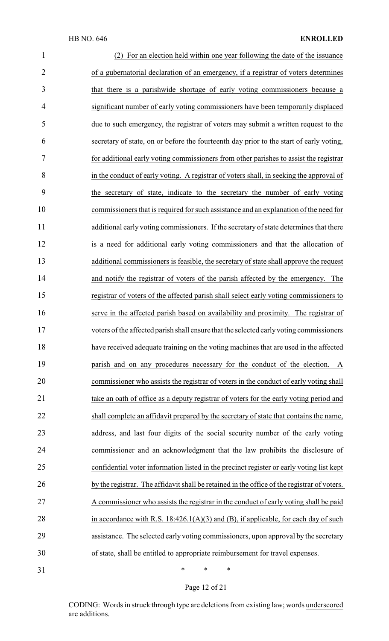## HB NO. 646 **ENROLLED**

| $\mathbf{1}$   | (2) For an election held within one year following the date of the issuance                 |
|----------------|---------------------------------------------------------------------------------------------|
| $\overline{2}$ | of a gubernatorial declaration of an emergency, if a registrar of voters determines         |
| 3              | that there is a parishwide shortage of early voting commissioners because a                 |
| 4              | significant number of early voting commissioners have been temporarily displaced            |
| 5              | due to such emergency, the registrar of voters may submit a written request to the          |
| 6              | secretary of state, on or before the fourteenth day prior to the start of early voting,     |
| 7              | for additional early voting commissioners from other parishes to assist the registrar       |
| 8              | in the conduct of early voting. A registrar of voters shall, in seeking the approval of     |
| 9              | the secretary of state, indicate to the secretary the number of early voting                |
| 10             | commissioners that is required for such assistance and an explanation of the need for       |
| 11             | additional early voting commissioners. If the secretary of state determines that there      |
| 12             | is a need for additional early voting commissioners and that the allocation of              |
| 13             | additional commissioners is feasible, the secretary of state shall approve the request      |
| 14             | and notify the registrar of voters of the parish affected by the emergency. The             |
| 15             | registrar of voters of the affected parish shall select early voting commissioners to       |
| 16             | serve in the affected parish based on availability and proximity. The registrar of          |
| 17             | voters of the affected parish shall ensure that the selected early voting commissioners     |
| 18             | have received adequate training on the voting machines that are used in the affected        |
| 19             | parish and on any procedures necessary for the conduct of the election. A                   |
| 20             | commissioner who assists the registrar of voters in the conduct of early voting shall       |
| 21             | take an oath of office as a deputy registrar of voters for the early voting period and      |
| 22             | shall complete an affidavit prepared by the secretary of state that contains the name,      |
| 23             | address, and last four digits of the social security number of the early voting             |
| 24             | commissioner and an acknowledgment that the law prohibits the disclosure of                 |
| 25             | confidential voter information listed in the precinct register or early voting list kept    |
| 26             | by the registrar. The affidavit shall be retained in the office of the registrar of voters. |
| 27             | A commissioner who assists the registrar in the conduct of early voting shall be paid       |
| 28             | in accordance with R.S. $18:426.1(A)(3)$ and (B), if applicable, for each day of such       |
| 29             | assistance. The selected early voting commissioners, upon approval by the secretary         |
| 30             | of state, shall be entitled to appropriate reimbursement for travel expenses.               |
| 31             | $\ast$<br>$\ast$<br>$\ast$                                                                  |

Page 12 of 21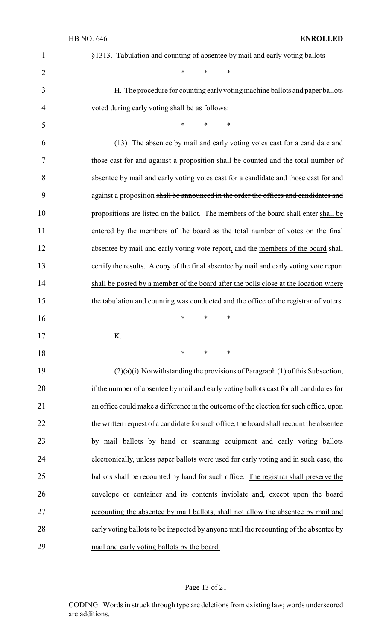| 1              | §1313. Tabulation and counting of absentee by mail and early voting ballots              |
|----------------|------------------------------------------------------------------------------------------|
| $\overline{c}$ | $\ast$<br>$\ast$<br>∗                                                                    |
| 3              | H. The procedure for counting early voting machine ballots and paper ballots             |
| $\overline{4}$ | voted during early voting shall be as follows:                                           |
| 5              | ∗<br>$\ast$<br>∗                                                                         |
| 6              | (13) The absentee by mail and early voting votes cast for a candidate and                |
| 7              | those cast for and against a proposition shall be counted and the total number of        |
| 8              | absentee by mail and early voting votes cast for a candidate and those cast for and      |
| 9              | against a proposition shall be announced in the order the offices and candidates and     |
| 10             | propositions are listed on the ballot. The members of the board shall enter shall be     |
| 11             | entered by the members of the board as the total number of votes on the final            |
| 12             | absentee by mail and early voting vote report, and the members of the board shall        |
| 13             | certify the results. A copy of the final absentee by mail and early voting vote report   |
| 14             | shall be posted by a member of the board after the polls close at the location where     |
| 15             | the tabulation and counting was conducted and the office of the registrar of voters.     |
| 16             | $\ast$<br>*<br>∗                                                                         |
| 17             | K.                                                                                       |
| 18             | $\ast$<br>∗<br>∗                                                                         |
| 19             | $(2)(a)(i)$ Notwithstanding the provisions of Paragraph (1) of this Subsection,          |
| 20             | if the number of absentee by mail and early voting ballots cast for all candidates for   |
| 21             | an office could make a difference in the outcome of the election for such office, upon   |
| 22             | the written request of a candidate for such office, the board shall recount the absentee |
| 23             | by mail ballots by hand or scanning equipment and early voting ballots                   |
| 24             | electronically, unless paper ballots were used for early voting and in such case, the    |
| 25             | ballots shall be recounted by hand for such office. The registrar shall preserve the     |
| 26             | envelope or container and its contents inviolate and, except upon the board              |
| 27             | recounting the absentee by mail ballots, shall not allow the absentee by mail and        |
| 28             | early voting ballots to be inspected by anyone until the recounting of the absentee by   |
| 29             | mail and early voting ballots by the board.                                              |

# Page 13 of 21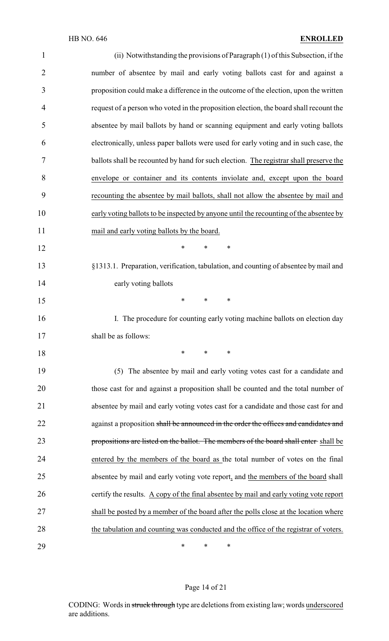| $\mathbf{1}$   | (ii) Notwithstanding the provisions of Paragraph (1) of this Subsection, if the        |
|----------------|----------------------------------------------------------------------------------------|
| $\overline{2}$ | number of absentee by mail and early voting ballots cast for and against a             |
| 3              | proposition could make a difference in the outcome of the election, upon the written   |
| 4              | request of a person who voted in the proposition election, the board shall recount the |
| 5              | absentee by mail ballots by hand or scanning equipment and early voting ballots        |
| 6              | electronically, unless paper ballots were used for early voting and in such case, the  |
| 7              | ballots shall be recounted by hand for such election. The registrar shall preserve the |
| 8              | envelope or container and its contents inviolate and, except upon the board            |
| 9              | recounting the absentee by mail ballots, shall not allow the absentee by mail and      |
| 10             | early voting ballots to be inspected by anyone until the recounting of the absentee by |
| 11             | mail and early voting ballots by the board.                                            |
| 12             | $\ast$<br>*<br>∗                                                                       |
| 13             | §1313.1. Preparation, verification, tabulation, and counting of absentee by mail and   |
| 14             | early voting ballots                                                                   |
| 15             | $\ast$<br>$\ast$<br>$\ast$                                                             |
| 16             | I. The procedure for counting early voting machine ballots on election day             |
| 17             | shall be as follows:                                                                   |
| 18             | $\ast$<br>∗<br>∗                                                                       |
| 19             | (5) The absentee by mail and early voting votes cast for a candidate and               |
| 20             | those cast for and against a proposition shall be counted and the total number of      |
| 21             | absentee by mail and early voting votes cast for a candidate and those cast for and    |
| 22             | against a proposition shall be announced in the order the offices and candidates and   |
| 23             | propositions are listed on the ballot. The members of the board shall enter shall be   |
| 24             | entered by the members of the board as the total number of votes on the final          |
| 25             | absentee by mail and early voting vote report, and the members of the board shall      |
| 26             | certify the results. A copy of the final absentee by mail and early voting vote report |
| 27             | shall be posted by a member of the board after the polls close at the location where   |
| 28             | the tabulation and counting was conducted and the office of the registrar of voters.   |
| 29             | ∗<br>$\ast$<br>∗                                                                       |

# Page 14 of 21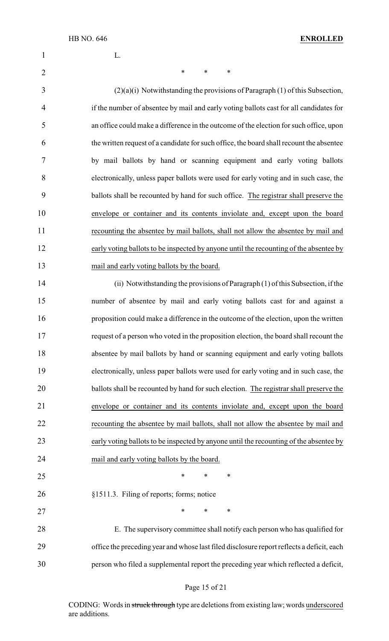## HB NO. 646 **ENROLLED**

L.

2 \* \* \* \* (2)(a)(i) Notwithstanding the provisions of Paragraph (1) of this Subsection, if the number of absentee by mail and early voting ballots cast for all candidates for an office could make a difference in the outcome of the election for such office, upon the written request of a candidate for such office, the board shall recount the absentee by mail ballots by hand or scanning equipment and early voting ballots electronically, unless paper ballots were used for early voting and in such case, the ballots shall be recounted by hand for such office. The registrar shall preserve the envelope or container and its contents inviolate and, except upon the board recounting the absentee by mail ballots, shall not allow the absentee by mail and early voting ballots to be inspected by anyone until the recounting of the absentee by mail and early voting ballots by the board. (ii) Notwithstanding the provisions of Paragraph (1) of this Subsection, if the number of absentee by mail and early voting ballots cast for and against a proposition could make a difference in the outcome of the election, upon the written request of a person who voted in the proposition election, the board shall recount the absentee by mail ballots by hand or scanning equipment and early voting ballots electronically, unless paper ballots were used for early voting and in such case, the 20 ballots shall be recounted by hand for such election. The registrar shall preserve the envelope or container and its contents inviolate and, except upon the board recounting the absentee by mail ballots, shall not allow the absentee by mail and early voting ballots to be inspected by anyone until the recounting of the absentee by mail and early voting ballots by the board. 25 \* \* \* \* §1511.3. Filing of reports; forms; notice 27 \* \* \* \* E. The supervisory committee shall notify each person who has qualified for office the preceding year and whose last filed disclosure report reflects a deficit, each person who filed a supplemental report the preceding year which reflected a deficit,

#### Page 15 of 21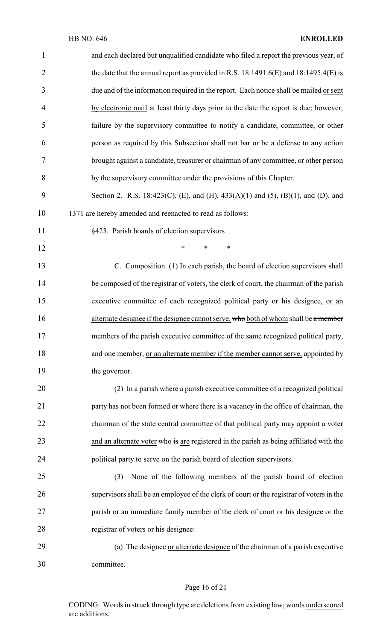| $\mathbf{1}$   | and each declared but unqualified candidate who filed a report the previous year, of     |
|----------------|------------------------------------------------------------------------------------------|
| $\overline{2}$ | the date that the annual report as provided in R.S. $18:1491.6(E)$ and $18:1495.4(E)$ is |
| 3              | due and of the information required in the report. Each notice shall be mailed or sent   |
| $\overline{4}$ | by electronic mail at least thirty days prior to the date the report is due; however,    |
| 5              | failure by the supervisory committee to notify a candidate, committee, or other          |
| 6              | person as required by this Subsection shall not bar or be a defense to any action        |
| 7              | brought against a candidate, treasurer or chairman of any committee, or other person     |
| 8              | by the supervisory committee under the provisions of this Chapter.                       |
| 9              | Section 2. R.S. 18:423(C), (E), and (H), 433(A)(1) and (5), (B)(1), and (D), and         |
| 10             | 1371 are hereby amended and reenacted to read as follows:                                |
| 11             | §423. Parish boards of election supervisors                                              |
| 12             | $\ast$<br>*<br>$\ast$                                                                    |
| 13             | C. Composition. (1) In each parish, the board of election supervisors shall              |
| 14             | be composed of the registrar of voters, the clerk of court, the chairman of the parish   |
| 15             | executive committee of each recognized political party or his designee, or an            |
| 16             | alternate designee if the designee cannot serve, who both of whom shall be a member      |
| 17             | members of the parish executive committee of the same recognized political party,        |
| 18             | and one member, or an alternate member if the member cannot serve, appointed by          |
| 19             | the governor.                                                                            |
| 20             | (2) In a parish where a parish executive committee of a recognized political             |
| 21             | party has not been formed or where there is a vacancy in the office of chairman, the     |
| 22             | chairman of the state central committee of that political party may appoint a voter      |
| 23             | and an alternate voter who is are registered in the parish as being affiliated with the  |
| 24             | political party to serve on the parish board of election supervisors.                    |
| 25             | None of the following members of the parish board of election<br>(3)                     |
| 26             | supervisors shall be an employee of the clerk of court or the registrar of voters in the |
| 27             | parish or an immediate family member of the clerk of court or his designee or the        |
| 28             | registrar of voters or his designee:                                                     |
| 29             | (a) The designee or alternate designee of the chairman of a parish executive             |
| 30             | committee.                                                                               |

# Page 16 of 21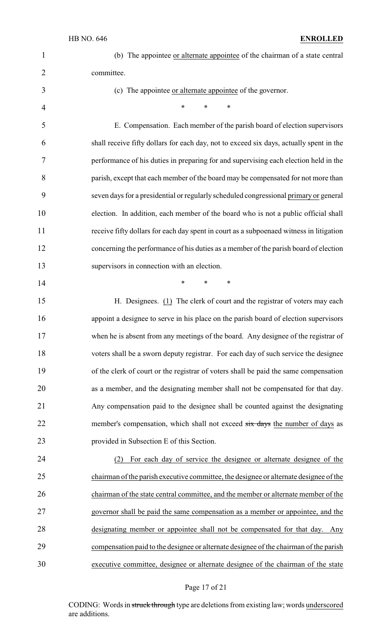4 \* \* \* \*

**\*** \* \* \*

| (b) The appointee or alternate appointee of the chairman of a state central |
|-----------------------------------------------------------------------------|
| committee.                                                                  |

(c) The appointee or alternate appointee of the governor.

 E. Compensation. Each member of the parish board of election supervisors shall receive fifty dollars for each day, not to exceed six days, actually spent in the performance of his duties in preparing for and supervising each election held in the parish, except that each member of the board may be compensated for not more than seven days for a presidential or regularly scheduled congressional primary or general election. In addition, each member of the board who is not a public official shall receive fifty dollars for each day spent in court as a subpoenaed witness in litigation concerning the performance of his duties as a member of the parish board of election supervisors in connection with an election.

 H. Designees. (1) The clerk of court and the registrar of voters may each appoint a designee to serve in his place on the parish board of election supervisors when he is absent from any meetings of the board. Any designee of the registrar of voters shall be a sworn deputy registrar. For each day of such service the designee of the clerk of court or the registrar of voters shall be paid the same compensation as a member, and the designating member shall not be compensated for that day. Any compensation paid to the designee shall be counted against the designating 22 member's compensation, which shall not exceed six days the number of days as provided in Subsection E of this Section.

 (2) For each day of service the designee or alternate designee of the chairman of the parish executive committee, the designee or alternate designee of the chairman of the state central committee, and the member or alternate member of the governor shall be paid the same compensation as a member or appointee, and the designating member or appointee shall not be compensated for that day. Any compensation paid to the designee or alternate designee of the chairman of the parish executive committee, designee or alternate designee of the chairman of the state

#### Page 17 of 21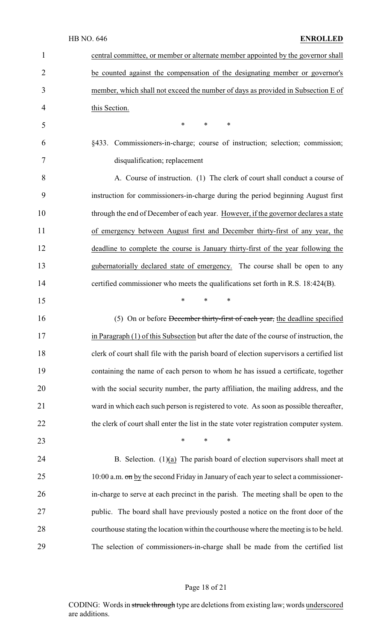|              | HB NO. 646<br><b>ENROLLED</b>                                                            |
|--------------|------------------------------------------------------------------------------------------|
| $\mathbf{1}$ | central committee, or member or alternate member appointed by the governor shall         |
| 2            | be counted against the compensation of the designating member or governor's              |
| 3            | member, which shall not exceed the number of days as provided in Subsection E of         |
| 4            | this Section.                                                                            |
| 5            | $\ast$<br>$\ast$<br>∗                                                                    |
| 6            | §433. Commissioners-in-charge; course of instruction; selection; commission;             |
| 7            | disqualification; replacement                                                            |
| 8            | A. Course of instruction. (1) The clerk of court shall conduct a course of               |
| 9            | instruction for commissioners-in-charge during the period beginning August first         |
| 10           | through the end of December of each year. However, if the governor declares a state      |
| 11           | of emergency between August first and December thirty-first of any year, the             |
| 12           | deadline to complete the course is January thirty-first of the year following the        |
| 13           | gubernatorially declared state of emergency. The course shall be open to any             |
| 14           | certified commissioner who meets the qualifications set forth in R.S. 18:424(B).         |
| 15           | *<br>∗<br>∗                                                                              |
| 16           | (5) On or before December thirty-first of each year, the deadline specified              |
| 17           | in Paragraph (1) of this Subsection but after the date of the course of instruction, the |
| 18           | clerk of court shall file with the parish board of election supervisors a certified list |
| 19           | containing the name of each person to whom he has issued a certificate, together         |
| 20           | with the social security number, the party affiliation, the mailing address, and the     |
| 21           | ward in which each such person is registered to vote. As soon as possible thereafter,    |
| 22           | the clerk of court shall enter the list in the state voter registration computer system. |
| 23           | $*$ $*$<br>$\ast$<br>$\ast$                                                              |
| 24           | B. Selection. $(1)(a)$ The parish board of election supervisors shall meet at            |
| 25           | 10:00 a.m. on by the second Friday in January of each year to select a commissioner-     |
| 26           | in-charge to serve at each precinct in the parish. The meeting shall be open to the      |
| 27           | public. The board shall have previously posted a notice on the front door of the         |
| 28           | courthouse stating the location within the courthouse where the meeting is to be held.   |
| 29           | The selection of commissioners-in-charge shall be made from the certified list           |

# Page 18 of 21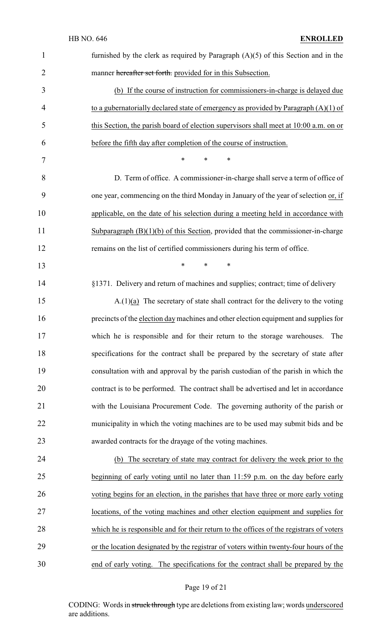| $\mathbf{1}$   | furnished by the clerk as required by Paragraph $(A)(5)$ of this Section and in the     |
|----------------|-----------------------------------------------------------------------------------------|
| $\overline{2}$ | manner hereafter set forth. provided for in this Subsection.                            |
| 3              | (b) If the course of instruction for commissioners-in-charge is delayed due             |
| 4              | to a gubernatorially declared state of emergency as provided by Paragraph $(A)(1)$ of   |
| 5              | this Section, the parish board of election supervisors shall meet at 10:00 a.m. on or   |
| 6              | before the fifth day after completion of the course of instruction.                     |
| 7              | $\ast$<br>*<br>∗                                                                        |
| 8              | D. Term of office. A commissioner-in-charge shall serve a term of office of             |
| 9              | one year, commencing on the third Monday in January of the year of selection or, if     |
| 10             | applicable, on the date of his selection during a meeting held in accordance with       |
| 11             | Subparagraph $(B)(1)(b)$ of this Section, provided that the commissioner-in-charge      |
| 12             | remains on the list of certified commissioners during his term of office.               |
| 13             | $\ast$<br>*<br>*                                                                        |
| 14             | §1371. Delivery and return of machines and supplies; contract; time of delivery         |
| 15             | $A(1)(a)$ The secretary of state shall contract for the delivery to the voting          |
| 16             | precincts of the election day machines and other election equipment and supplies for    |
| 17             | which he is responsible and for their return to the storage warehouses. The             |
| 18             | specifications for the contract shall be prepared by the secretary of state after       |
| 19             | consultation with and approval by the parish custodian of the parish in which the       |
| 20             | contract is to be performed. The contract shall be advertised and let in accordance     |
| 21             | with the Louisiana Procurement Code. The governing authority of the parish or           |
| 22             | municipality in which the voting machines are to be used may submit bids and be         |
| 23             | awarded contracts for the drayage of the voting machines.                               |
| 24             | (b) The secretary of state may contract for delivery the week prior to the              |
| 25             | beginning of early voting until no later than 11:59 p.m. on the day before early        |
| 26             | voting begins for an election, in the parishes that have three or more early voting     |
| 27             | locations, of the voting machines and other election equipment and supplies for         |
| 28             | which he is responsible and for their return to the offices of the registrars of voters |
| 29             | or the location designated by the registrar of voters within twenty-four hours of the   |
| 30             | end of early voting. The specifications for the contract shall be prepared by the       |

# Page 19 of 21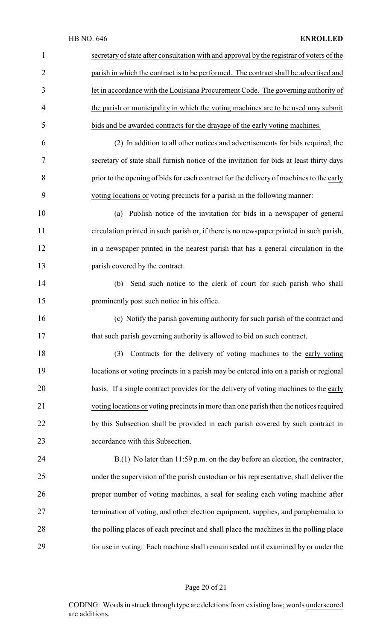| $\mathbf{1}$   | secretary of state after consultation with and approval by the registrar of voters of the |
|----------------|-------------------------------------------------------------------------------------------|
| $\overline{2}$ | parish in which the contract is to be performed. The contract shall be advertised and     |
| 3              | let in accordance with the Louisiana Procurement Code. The governing authority of         |
| 4              | the parish or municipality in which the voting machines are to be used may submit         |
| 5              | bids and be awarded contracts for the drayage of the early voting machines.               |
| 6              | (2) In addition to all other notices and advertisements for bids required, the            |
| 7              | secretary of state shall furnish notice of the invitation for bids at least thirty days   |
| 8              | prior to the opening of bids for each contract for the delivery of machines to the early  |
| 9              | voting locations or voting precincts for a parish in the following manner:                |
| 10             | (a) Publish notice of the invitation for bids in a newspaper of general                   |
| 11             | circulation printed in such parish or, if there is no newspaper printed in such parish,   |
| 12             | in a newspaper printed in the nearest parish that has a general circulation in the        |
| 13             | parish covered by the contract.                                                           |
| 14             | Send such notice to the clerk of court for such parish who shall<br>(b)                   |
| 15             | prominently post such notice in his office.                                               |
| 16             | (c) Notify the parish governing authority for such parish of the contract and             |
| 17             | that such parish governing authority is allowed to bid on such contract.                  |
| 18             | Contracts for the delivery of voting machines to the early voting<br>(3)                  |
| 19             | locations or voting precincts in a parish may be entered into on a parish or regional     |
| 20             | basis. If a single contract provides for the delivery of voting machines to the early     |
| 21             | voting locations or voting precincts in more than one parish then the notices required    |
| 22             | by this Subsection shall be provided in each parish covered by such contract in           |
| 23             | accordance with this Subsection.                                                          |
| 24             | $B(1)$ No later than 11:59 p.m. on the day before an election, the contractor,            |
| 25             | under the supervision of the parish custodian or his representative, shall deliver the    |
| 26             | proper number of voting machines, a seal for sealing each voting machine after            |
| 27             | termination of voting, and other election equipment, supplies, and paraphernalia to       |
| 28             | the polling places of each precinct and shall place the machines in the polling place     |
| 29             | for use in voting. Each machine shall remain sealed until examined by or under the        |

# Page 20 of 21